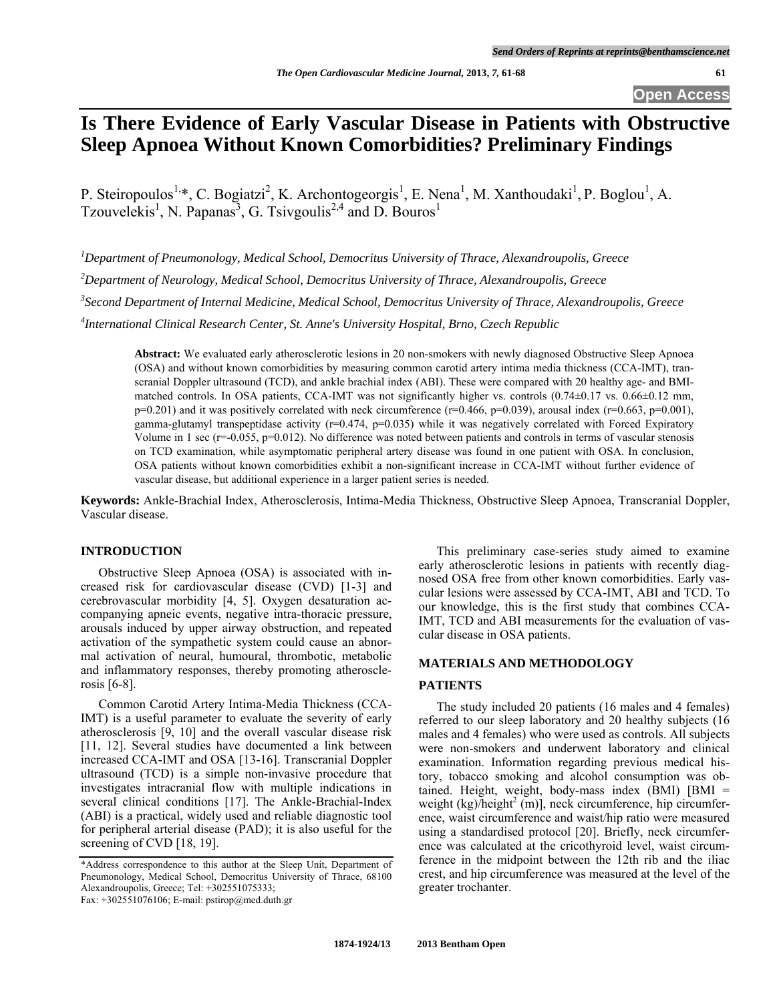# **Is There Evidence of Early Vascular Disease in Patients with Obstructive Sleep Apnoea Without Known Comorbidities? Preliminary Findings**

P. Steiropoulos<sup>1,\*</sup>, C. Bogiatzi<sup>2</sup>, K. Archontogeorgis<sup>1</sup>, E. Nena<sup>1</sup>, M. Xanthoudaki<sup>1</sup>, P. Boglou<sup>1</sup>, A. Tzouvelekis<sup>1</sup>, N. Papanas<sup>3</sup>, G. Tsivgoulis<sup>2,4</sup> and D. Bouros<sup>1</sup>

*1 Department of Pneumonology, Medical School, Democritus University of Thrace, Alexandroupolis, Greece* 

*2 Department of Neurology, Medical School, Democritus University of Thrace, Alexandroupolis, Greece* 

*3 Second Department of Internal Medicine, Medical School, Democritus University of Thrace, Alexandroupolis, Greece* 

*4 International Clinical Research Center, St. Anne's University Hospital, Brno, Czech Republic* 

**Abstract:** We evaluated early atherosclerotic lesions in 20 non-smokers with newly diagnosed Obstructive Sleep Apnoea (OSA) and without known comorbidities by measuring common carotid artery intima media thickness (CCA-IMT), transcranial Doppler ultrasound (TCD), and ankle brachial index (ABI). These were compared with 20 healthy age- and BMImatched controls. In OSA patients, CCA-IMT was not significantly higher vs. controls (0.74±0.17 vs. 0.66±0.12 mm,  $p=0.201$ ) and it was positively correlated with neck circumference (r=0.466,  $p=0.039$ ), arousal index (r=0.663,  $p=0.001$ ), gamma-glutamyl transpeptidase activity  $(r=0.474, p=0.035)$  while it was negatively correlated with Forced Expiratory Volume in 1 sec  $(r=-0.055, p=0.012)$ . No difference was noted between patients and controls in terms of vascular stenosis on TCD examination, while asymptomatic peripheral artery disease was found in one patient with OSA. In conclusion, OSA patients without known comorbidities exhibit a non-significant increase in CCA-IMT without further evidence of vascular disease, but additional experience in a larger patient series is needed.

**Keywords:** Ankle-Brachial Index, Atherosclerosis, Intima-Media Thickness, Obstructive Sleep Apnoea, Transcranial Doppler, Vascular disease.

#### **INTRODUCTION**

 Obstructive Sleep Apnoea (OSA) is associated with increased risk for cardiovascular disease (CVD) [1-3] and cerebrovascular morbidity [4, 5]. Oxygen desaturation accompanying apneic events, negative intra-thoracic pressure, arousals induced by upper airway obstruction, and repeated activation of the sympathetic system could cause an abnormal activation of neural, humoural, thrombotic, metabolic and inflammatory responses, thereby promoting atherosclerosis [6-8].

 Common Carotid Artery Intima-Media Thickness (CCA-IMT) is a useful parameter to evaluate the severity of early atherosclerosis [9, 10] and the overall vascular disease risk [11, 12]. Several studies have documented a link between increased CCA-IMT and OSA [13-16]. Transcranial Doppler ultrasound (TCD) is a simple non-invasive procedure that investigates intracranial flow with multiple indications in several clinical conditions [17]. The Ankle-Brachial-Index (ABI) is a practical, widely used and reliable diagnostic tool for peripheral arterial disease (PAD); it is also useful for the screening of CVD [18, 19].

 This preliminary case-series study aimed to examine early atherosclerotic lesions in patients with recently diagnosed OSA free from other known comorbidities. Early vascular lesions were assessed by CCA-IMT, ABI and TCD. To our knowledge, this is the first study that combines CCA-IMT, TCD and ABI measurements for the evaluation of vascular disease in OSA patients.

# **MATERIALS AND METHODOLOGY**

# **PATIENTS**

 The study included 20 patients (16 males and 4 females) referred to our sleep laboratory and 20 healthy subjects (16 males and 4 females) who were used as controls. All subjects were non-smokers and underwent laboratory and clinical examination. Information regarding previous medical history, tobacco smoking and alcohol consumption was obtained. Height, weight, body-mass index (BMI) [BMI = weight  $(kg)$ /height<sup>2</sup> (m)], neck circumference, hip circumference, waist circumference and waist/hip ratio were measured using a standardised protocol [20]. Briefly, neck circumference was calculated at the cricothyroid level, waist circumference in the midpoint between the 12th rib and the iliac crest, and hip circumference was measured at the level of the greater trochanter.

<sup>\*</sup>Address correspondence to this author at the Sleep Unit, Department of Pneumonology, Medical School, Democritus University of Thrace, 68100 Alexandroupolis, Greece; Tel: +302551075333;

Fax: +302551076106; E-mail: pstirop@med.duth.gr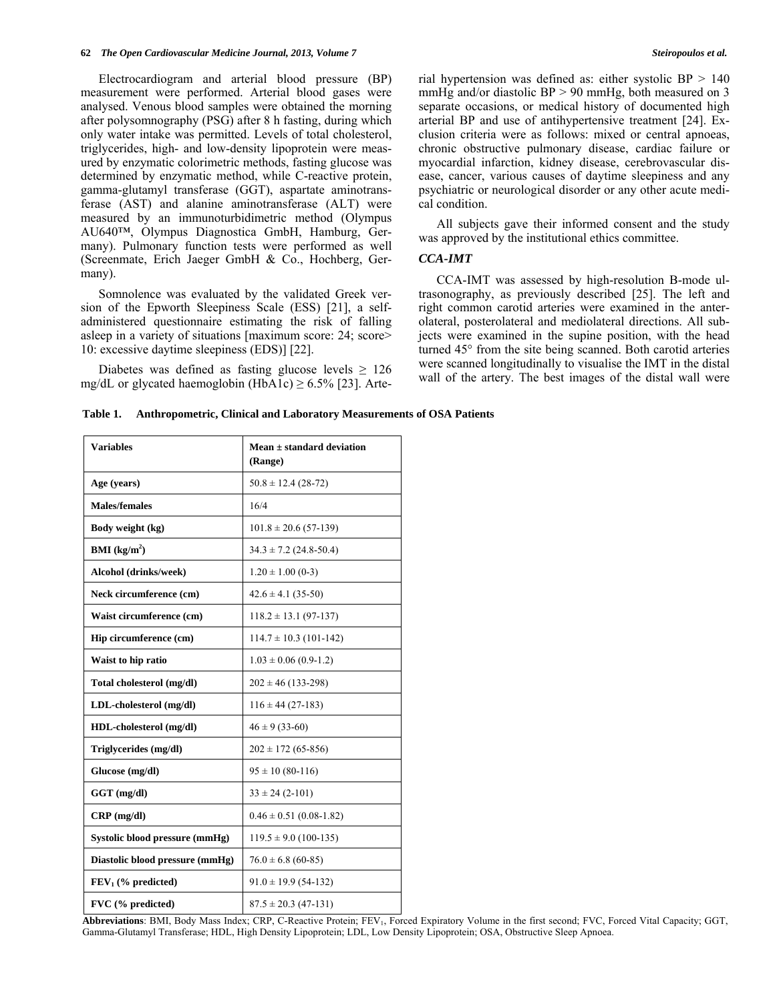#### **62** *The Open Cardiovascular Medicine Journal, 2013, Volume 7 Steiropoulos et al.*

 Electrocardiogram and arterial blood pressure (BP) measurement were performed. Arterial blood gases were analysed. Venous blood samples were obtained the morning after polysomnography (PSG) after 8 h fasting, during which only water intake was permitted. Levels of total cholesterol, triglycerides, high- and low-density lipoprotein were measured by enzymatic colorimetric methods, fasting glucose was determined by enzymatic method, while C-reactive protein, gamma-glutamyl transferase (GGT), aspartate aminotransferase (AST) and alanine aminotransferase (ALT) were measured by an immunoturbidimetric method (Olympus AU640™, Olympus Diagnostica GmbH, Hamburg, Germany). Pulmonary function tests were performed as well (Screenmate, Erich Jaeger GmbH & Co., Hochberg, Germany).

 Somnolence was evaluated by the validated Greek version of the Epworth Sleepiness Scale (ESS) [21], a selfadministered questionnaire estimating the risk of falling asleep in a variety of situations [maximum score: 24; score> 10: excessive daytime sleepiness (EDS)] [22].

Diabetes was defined as fasting glucose levels  $\geq 126$ mg/dL or glycated haemoglobin (HbA1c)  $\geq$  6.5% [23]. Arterial hypertension was defined as: either systolic BP > 140 mmHg and/or diastolic  $BP > 90$  mmHg, both measured on 3 separate occasions, or medical history of documented high arterial BP and use of antihypertensive treatment [24]. Exclusion criteria were as follows: mixed or central apnoeas, chronic obstructive pulmonary disease, cardiac failure or myocardial infarction, kidney disease, cerebrovascular disease, cancer, various causes of daytime sleepiness and any psychiatric or neurological disorder or any other acute medical condition.

 All subjects gave their informed consent and the study was approved by the institutional ethics committee.

# *CCA-IMT*

 CCA-IMT was assessed by high-resolution B-mode ultrasonography, as previously described [25]. The left and right common carotid arteries were examined in the anterolateral, posterolateral and mediolateral directions. All subjects were examined in the supine position, with the head turned 45° from the site being scanned. Both carotid arteries were scanned longitudinally to visualise the IMT in the distal wall of the artery. The best images of the distal wall were

| Table 1. |  |  |  | <b>Anthropometric, Clinical and Laboratory Measurements of OSA Patients</b> |  |  |
|----------|--|--|--|-----------------------------------------------------------------------------|--|--|
|----------|--|--|--|-----------------------------------------------------------------------------|--|--|

| <b>Variables</b>                | Mean $\pm$ standard deviation<br>(Range) |  |
|---------------------------------|------------------------------------------|--|
| Age (years)                     | $50.8 \pm 12.4$ (28-72)                  |  |
| <b>Males/females</b>            | 16/4                                     |  |
| Body weight (kg)                | $101.8 \pm 20.6$ (57-139)                |  |
| <b>BMI</b> ( $kg/m2$ )          | $34.3 \pm 7.2$ (24.8-50.4)               |  |
| Alcohol (drinks/week)           | $1.20 \pm 1.00$ (0-3)                    |  |
| Neck circumference (cm)         | $42.6 \pm 4.1$ (35-50)                   |  |
| Waist circumference (cm)        | $118.2 \pm 13.1 (97-137)$                |  |
| Hip circumference (cm)          | $114.7 \pm 10.3$ (101-142)               |  |
| Waist to hip ratio              | $1.03 \pm 0.06$ (0.9-1.2)                |  |
| Total cholesterol (mg/dl)       | $202 \pm 46$ (133-298)                   |  |
| LDL-cholesterol (mg/dl)         | $116 \pm 44$ (27-183)                    |  |
| HDL-cholesterol (mg/dl)         | $46 \pm 9(33-60)$                        |  |
| Triglycerides (mg/dl)           | $202 \pm 172$ (65-856)                   |  |
| Glucose (mg/dl)                 | $95 \pm 10(80-116)$                      |  |
| $GGT$ (mg/dl)                   | $33 \pm 24$ (2-101)                      |  |
| $CRP$ (mg/dl)                   | $0.46 \pm 0.51$ (0.08-1.82)              |  |
| Systolic blood pressure (mmHg)  | $119.5 \pm 9.0$ (100-135)                |  |
| Diastolic blood pressure (mmHg) | $76.0 \pm 6.8$ (60-85)                   |  |
| $FEV1$ (% predicted)            | $91.0 \pm 19.9$ (54-132)                 |  |
| FVC (% predicted)               | $87.5 \pm 20.3$ (47-131)                 |  |

Abbreviations: BMI, Body Mass Index; CRP, C-Reactive Protein; FEV<sub>1</sub>, Forced Expiratory Volume in the first second; FVC, Forced Vital Capacity; GGT, Gamma-Glutamyl Transferase; HDL, High Density Lipoprotein; LDL, Low Density Lipoprotein; OSA, Obstructive Sleep Apnoea.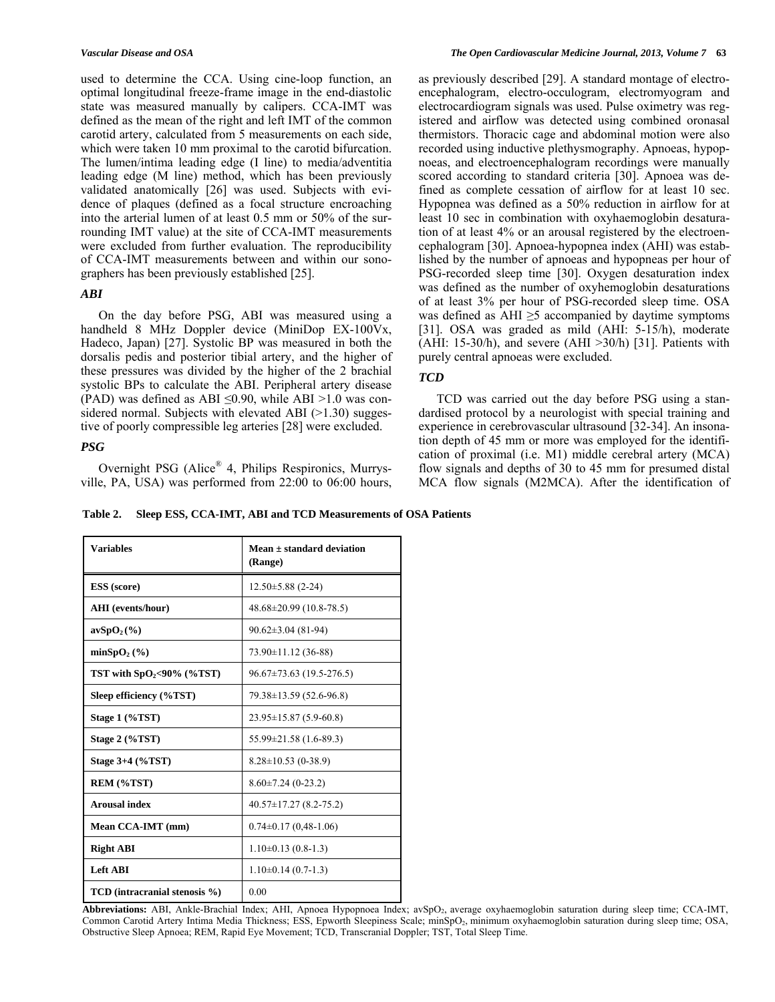used to determine the CCA. Using cine-loop function, an optimal longitudinal freeze-frame image in the end-diastolic state was measured manually by calipers. CCA-IMT was defined as the mean of the right and left IMT of the common carotid artery, calculated from 5 measurements on each side, which were taken 10 mm proximal to the carotid bifurcation. The lumen/intima leading edge (I line) to media/adventitia leading edge (M line) method, which has been previously validated anatomically [26] was used. Subjects with evidence of plaques (defined as a focal structure encroaching into the arterial lumen of at least 0.5 mm or 50% of the surrounding IMT value) at the site of CCA-IMT measurements were excluded from further evaluation. The reproducibility of CCA-IMT measurements between and within our sonographers has been previously established [25].

# *ABI*

 On the day before PSG, ABI was measured using a handheld 8 MHz Doppler device (MiniDop EX-100Vx, Hadeco, Japan) [27]. Systolic BP was measured in both the dorsalis pedis and posterior tibial artery, and the higher of these pressures was divided by the higher of the 2 brachial systolic BPs to calculate the ABI. Peripheral artery disease (PAD) was defined as ABI  $\leq 0.90$ , while ABI >1.0 was considered normal. Subjects with elevated ABI  $(>1.30)$  suggestive of poorly compressible leg arteries [28] were excluded.

# *PSG*

 Overnight PSG (Alice® 4, Philips Respironics, Murrysville, PA, USA) was performed from 22:00 to 06:00 hours, as previously described [29]. A standard montage of electroencephalogram, electro-occulogram, electromyogram and electrocardiogram signals was used. Pulse oximetry was registered and airflow was detected using combined oronasal thermistors. Thoracic cage and abdominal motion were also recorded using inductive plethysmography. Apnoeas, hypopnoeas, and electroencephalogram recordings were manually scored according to standard criteria [30]. Apnoea was defined as complete cessation of airflow for at least 10 sec. Hypopnea was defined as a 50% reduction in airflow for at least 10 sec in combination with oxyhaemoglobin desaturation of at least 4% or an arousal registered by the electroencephalogram [30]. Apnoea-hypopnea index (AHI) was established by the number of apnoeas and hypopneas per hour of PSG-recorded sleep time [30]. Oxygen desaturation index was defined as the number of oxyhemoglobin desaturations of at least 3% per hour of PSG-recorded sleep time. OSA was defined as AHI  $\geq$ 5 accompanied by daytime symptoms [31]. OSA was graded as mild (AHI: 5-15/h), moderate (AHI: 15-30/h), and severe (AHI  $>30/h$ ) [31]. Patients with purely central apnoeas were excluded.

# *TCD*

 TCD was carried out the day before PSG using a standardised protocol by a neurologist with special training and experience in cerebrovascular ultrasound [32-34]. An insonation depth of 45 mm or more was employed for the identification of proximal (i.e. M1) middle cerebral artery (MCA) flow signals and depths of 30 to 45 mm for presumed distal MCA flow signals (M2MCA). After the identification of

**Table 2. Sleep ESS, CCA-IMT, ABI and TCD Measurements of OSA Patients** 

| <b>Variables</b>              | Mean $\pm$ standard deviation<br>(Range) |  |
|-------------------------------|------------------------------------------|--|
| <b>ESS</b> (score)            | $12.50 \pm 5.88$ (2-24)                  |  |
| AHI (events/hour)             | $48.68 \pm 20.99$ (10.8-78.5)            |  |
| $avSpO2(\%)$                  | $90.62 \pm 3.04$ (81-94)                 |  |
| $minSpO2(\%)$                 | $73.90 \pm 11.12$ (36-88)                |  |
| TST with $SpO2< 90%$ (%TST)   | $96.67 \pm 73.63$ (19.5-276.5)           |  |
| Sleep efficiency (%TST)       | 79.38±13.59 (52.6-96.8)                  |  |
| Stage 1 (%TST)                | $23.95 \pm 15.87(5.9-60.8)$              |  |
| Stage 2 (%TST)                | $55.99 \pm 21.58$ (1.6-89.3)             |  |
| Stage $3+4$ (%TST)            | $8.28 \pm 10.53$ (0-38.9)                |  |
| REM (%TST)                    | $8.60\pm7.24(0-23.2)$                    |  |
| <b>Arousal index</b>          | $40.57 \pm 17.27$ (8.2-75.2)             |  |
| Mean CCA-IMT (mm)             | $0.74 \pm 0.17$ (0.48-1.06)              |  |
| <b>Right ABI</b>              | $1.10\pm0.13(0.8-1.3)$                   |  |
| <b>Left ABI</b>               | $1.10\pm0.14(0.7-1.3)$                   |  |
| TCD (intracranial stenosis %) | 0.00                                     |  |

Abbreviations: ABI, Ankle-Brachial Index; AHI, Apnoea Hypopnoea Index; avSpO<sub>2</sub>, average oxyhaemoglobin saturation during sleep time; CCA-IMT, Common Carotid Artery Intima Media Thickness; ESS, Epworth Sleepiness Scale; minSpO<sub>2</sub>, minimum oxyhaemoglobin saturation during sleep time; OSA, Obstructive Sleep Apnoea; REM, Rapid Eye Movement; TCD, Transcranial Doppler; TST, Total Sleep Time.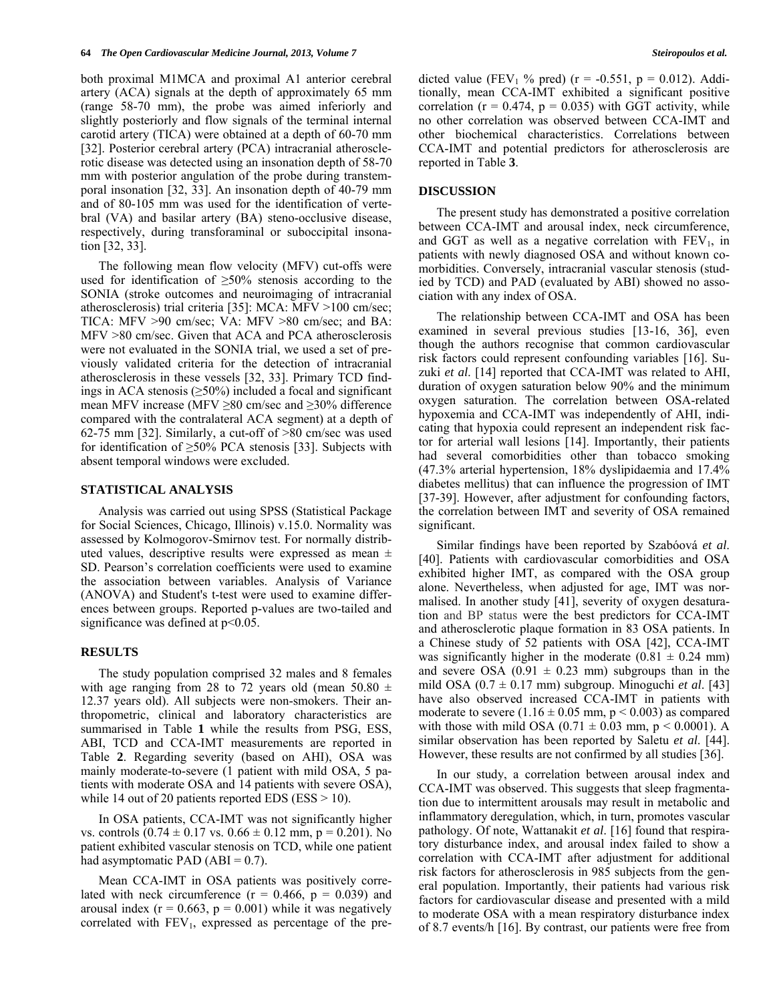both proximal M1MCA and proximal A1 anterior cerebral artery (ACA) signals at the depth of approximately 65 mm (range 58-70 mm), the probe was aimed inferiorly and slightly posteriorly and flow signals of the terminal internal carotid artery (TICA) were obtained at a depth of 60-70 mm [32]. Posterior cerebral artery (PCA) intracranial atherosclerotic disease was detected using an insonation depth of 58-70 mm with posterior angulation of the probe during transtemporal insonation [32, 33]. An insonation depth of 40-79 mm and of 80-105 mm was used for the identification of vertebral (VA) and basilar artery (BA) steno-occlusive disease, respectively, during transforaminal or suboccipital insonation [32, 33].

 The following mean flow velocity (MFV) cut-offs were used for identification of  $\geq 50\%$  stenosis according to the SONIA (stroke outcomes and neuroimaging of intracranial atherosclerosis) trial criteria [35]: MCA: MFV >100 cm/sec; TICA: MFV >90 cm/sec; VA: MFV >80 cm/sec; and BA: MFV >80 cm/sec. Given that ACA and PCA atherosclerosis were not evaluated in the SONIA trial, we used a set of previously validated criteria for the detection of intracranial atherosclerosis in these vessels [32, 33]. Primary TCD findings in ACA stenosis (≥50%) included a focal and significant mean MFV increase (MFV ≥80 cm/sec and ≥30% difference compared with the contralateral ACA segment) at a depth of 62-75 mm [32]. Similarly, a cut-off of >80 cm/sec was used for identification of  $\geq$ 50% PCA stenosis [33]. Subjects with absent temporal windows were excluded.

### **STATISTICAL ANALYSIS**

 Analysis was carried out using SPSS (Statistical Package for Social Sciences, Chicago, Illinois) v.15.0. Normality was assessed by Kolmogorov-Smirnov test. For normally distributed values, descriptive results were expressed as mean  $\pm$ SD. Pearson's correlation coefficients were used to examine the association between variables. Analysis of Variance (ANOVA) and Student's t-test were used to examine differences between groups. Reported p-values are two-tailed and significance was defined at  $p<0.05$ .

# **RESULTS**

 The study population comprised 32 males and 8 females with age ranging from 28 to 72 years old (mean 50.80  $\pm$ 12.37 years old). All subjects were non-smokers. Their anthropometric, clinical and laboratory characteristics are summarised in Table **1** while the results from PSG, ESS, ABI, TCD and CCA-IMT measurements are reported in Table **2**. Regarding severity (based on AHI), OSA was mainly moderate-to-severe (1 patient with mild OSA, 5 patients with moderate OSA and 14 patients with severe OSA), while 14 out of 20 patients reported EDS ( $ESS > 10$ ).

 In OSA patients, CCA-IMT was not significantly higher vs. controls  $(0.74 \pm 0.17 \text{ vs. } 0.66 \pm 0.12 \text{ mm}, p = 0.201)$ . No patient exhibited vascular stenosis on TCD, while one patient had asymptomatic PAD  $(ABI = 0.7)$ .

 Mean CCA-IMT in OSA patients was positively correlated with neck circumference  $(r = 0.466, p = 0.039)$  and arousal index ( $r = 0.663$ ,  $p = 0.001$ ) while it was negatively correlated with  $FEV_1$ , expressed as percentage of the predicted value (FEV<sub>1</sub> % pred) (r = -0.551, p = 0.012). Additionally, mean CCA-IMT exhibited a significant positive correlation ( $r = 0.474$ ,  $p = 0.035$ ) with GGT activity, while no other correlation was observed between CCA-IMT and other biochemical characteristics. Correlations between CCA-IMT and potential predictors for atherosclerosis are reported in Table **3**.

### **DISCUSSION**

 The present study has demonstrated a positive correlation between CCA-IMT and arousal index, neck circumference, and GGT as well as a negative correlation with  $FEV<sub>1</sub>$ , in patients with newly diagnosed OSA and without known comorbidities. Conversely, intracranial vascular stenosis (studied by TCD) and PAD (evaluated by ABI) showed no association with any index of OSA.

 The relationship between CCA-IMT and OSA has been examined in several previous studies [13-16, 36], even though the authors recognise that common cardiovascular risk factors could represent confounding variables [16]. Suzuki *et al*. [14] reported that CCA-IMT was related to AHI, duration of oxygen saturation below 90% and the minimum oxygen saturation. The correlation between OSA-related hypoxemia and CCA-IMT was independently of AHI, indicating that hypoxia could represent an independent risk factor for arterial wall lesions [14]. Importantly, their patients had several comorbidities other than tobacco smoking (47.3% arterial hypertension, 18% dyslipidaemia and 17.4% diabetes mellitus) that can influence the progression of IMT [37-39]. However, after adjustment for confounding factors, the correlation between IMT and severity of OSA remained significant.

 Similar findings have been reported by Szabóová *et al*. [40]. Patients with cardiovascular comorbidities and OSA exhibited higher IMT, as compared with the OSA group alone. Nevertheless, when adjusted for age, IMT was normalised. In another study [41], severity of oxygen desaturation and BP status were the best predictors for CCA-IMT and atherosclerotic plaque formation in 83 OSA patients. In a Chinese study of 52 patients with OSA [42], CCA-IMT was significantly higher in the moderate  $(0.81 \pm 0.24 \text{ mm})$ and severe OSA  $(0.91 \pm 0.23 \text{ mm})$  subgroups than in the mild OSA (0.7 ± 0.17 mm) subgroup. Minoguchi *et al*. [43] have also observed increased CCA-IMT in patients with moderate to severe  $(1.16 \pm 0.05 \text{ mm}, \text{p} < 0.003)$  as compared with those with mild OSA  $(0.71 \pm 0.03 \text{ mm}, \text{p} < 0.0001)$ . A similar observation has been reported by Saletu *et al*. [44]. However, these results are not confirmed by all studies [36].

 In our study, a correlation between arousal index and CCA-IMT was observed. This suggests that sleep fragmentation due to intermittent arousals may result in metabolic and inflammatory deregulation, which, in turn, promotes vascular pathology. Of note, Wattanakit *et al*. [16] found that respiratory disturbance index, and arousal index failed to show a correlation with CCA-IMT after adjustment for additional risk factors for atherosclerosis in 985 subjects from the general population. Importantly, their patients had various risk factors for cardiovascular disease and presented with a mild to moderate OSA with a mean respiratory disturbance index of 8.7 events/h [16]. By contrast, our patients were free from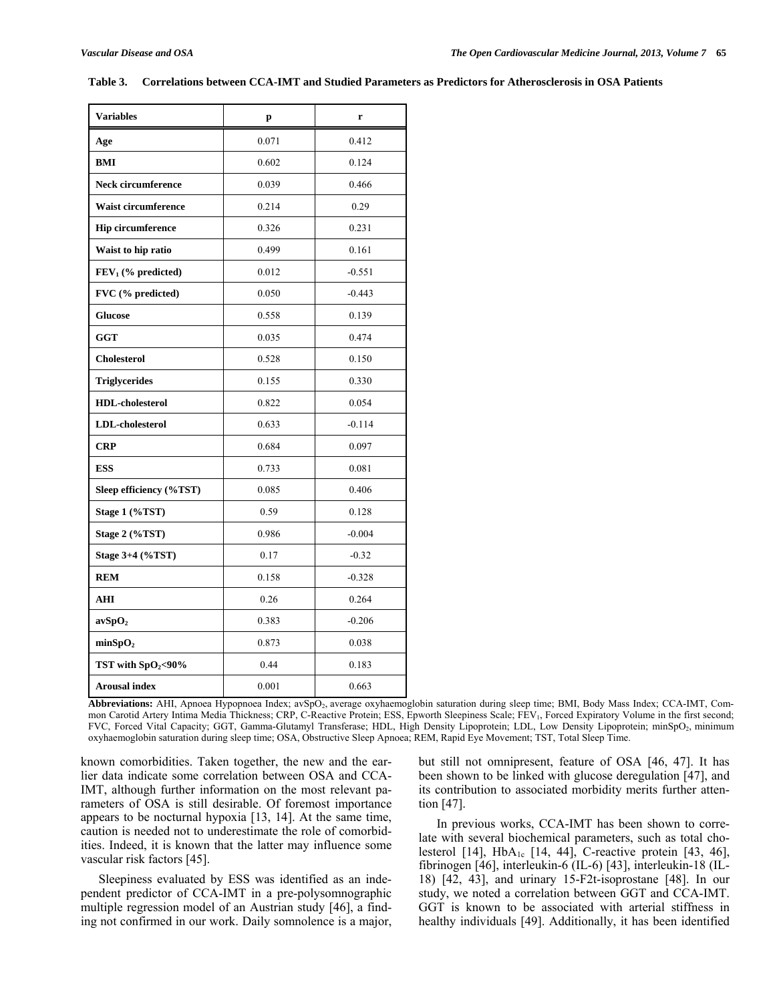| <b>Variables</b>           | p     | r        |
|----------------------------|-------|----------|
| Age                        | 0.071 | 0.412    |
| <b>BMI</b>                 | 0.602 | 0.124    |
| <b>Neck circumference</b>  | 0.039 | 0.466    |
| <b>Waist circumference</b> | 0.214 | 0.29     |
| <b>Hip circumference</b>   | 0.326 | 0.231    |
| Waist to hip ratio         | 0.499 | 0.161    |
| $FEV1$ (% predicted)       | 0.012 | $-0.551$ |
| FVC (% predicted)          | 0.050 | $-0.443$ |
| <b>Glucose</b>             | 0.558 | 0.139    |
| GGT                        | 0.035 | 0.474    |
| <b>Cholesterol</b>         | 0.528 | 0.150    |
| <b>Triglycerides</b>       | 0.155 | 0.330    |
| <b>HDL-cholesterol</b>     | 0.822 | 0.054    |
| <b>LDL-cholesterol</b>     | 0.633 | $-0.114$ |
| <b>CRP</b>                 | 0.684 | 0.097    |
| <b>ESS</b>                 | 0.733 | 0.081    |
| Sleep efficiency (%TST)    | 0.085 | 0.406    |
| Stage 1 (%TST)             | 0.59  | 0.128    |
| Stage 2 (%TST)             | 0.986 | $-0.004$ |
| Stage 3+4 (%TST)           | 0.17  | $-0.32$  |
| <b>REM</b>                 | 0.158 | $-0.328$ |
| <b>AHI</b>                 | 0.26  | 0.264    |
| $\mathbf{avSpO}_2$         | 0.383 | $-0.206$ |
| minSpO <sub>2</sub>        | 0.873 | 0.038    |
| TST with $SpO2< 90%$       | 0.44  | 0.183    |
| <b>Arousal index</b>       | 0.001 | 0.663    |

#### **Table 3. Correlations between CCA-IMT and Studied Parameters as Predictors for Atherosclerosis in OSA Patients**

**Abbreviations:** AHI, Apnoea Hypopnoea Index; avSpO2, average oxyhaemoglobin saturation during sleep time; BMI, Body Mass Index; CCA-IMT, Common Carotid Artery Intima Media Thickness; CRP, C-Reactive Protein; ESS, Epworth Sleepiness Scale; FEV1, Forced Expiratory Volume in the first second; FVC, Forced Vital Capacity; GGT, Gamma-Glutamyl Transferase; HDL, High Density Lipoprotein; LDL, Low Density Lipoprotein; minSpO<sub>2</sub>, minimum oxyhaemoglobin saturation during sleep time; OSA, Obstructive Sleep Apnoea; REM, Rapid Eye Movement; TST, Total Sleep Time.

known comorbidities. Taken together, the new and the earlier data indicate some correlation between OSA and CCA-IMT, although further information on the most relevant parameters of OSA is still desirable. Of foremost importance appears to be nocturnal hypoxia [13, 14]. At the same time, caution is needed not to underestimate the role of comorbidities. Indeed, it is known that the latter may influence some vascular risk factors [45].

 Sleepiness evaluated by ESS was identified as an independent predictor of CCA-IMT in a pre-polysomnographic multiple regression model of an Austrian study [46], a finding not confirmed in our work. Daily somnolence is a major, but still not omnipresent, feature of OSA [46, 47]. It has been shown to be linked with glucose deregulation [47], and its contribution to associated morbidity merits further attention [47].

 In previous works, CCA-IMT has been shown to correlate with several biochemical parameters, such as total cholesterol [14],  $HbA_{1c}$  [14, 44], C-reactive protein [43, 46], fibrinogen [46], interleukin-6 (IL-6) [43], interleukin-18 (IL-18) [42, 43], and urinary 15-F2t-isoprostane [48]. In our study, we noted a correlation between GGT and CCA-IMT. GGT is known to be associated with arterial stiffness in healthy individuals [49]. Additionally, it has been identified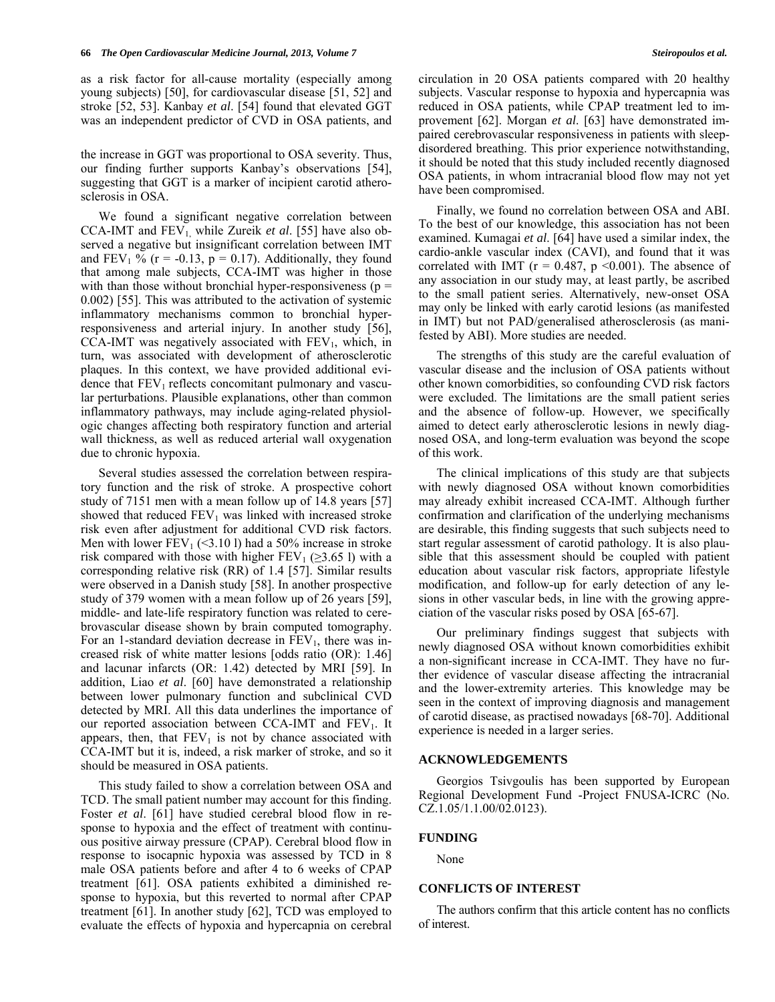as a risk factor for all-cause mortality (especially among young subjects) [50], for cardiovascular disease [51, 52] and stroke [52, 53]. Kanbay *et al*. [54] found that elevated GGT was an independent predictor of CVD in OSA patients, and

the increase in GGT was proportional to OSA severity. Thus, our finding further supports Kanbay's observations [54], suggesting that GGT is a marker of incipient carotid atherosclerosis in OSA.

 We found a significant negative correlation between CCA-IMT and  $FEV_1$  while Zureik *et al.* [55] have also observed a negative but insignificant correlation between IMT and FEV<sub>1</sub> % ( $r = -0.13$ ,  $p = 0.17$ ). Additionally, they found that among male subjects, CCA-IMT was higher in those with than those without bronchial hyper-responsiveness ( $p =$ 0.002) [55]. This was attributed to the activation of systemic inflammatory mechanisms common to bronchial hyperresponsiveness and arterial injury. In another study [56], CCA-IMT was negatively associated with  $FEV<sub>1</sub>$ , which, in turn, was associated with development of atherosclerotic plaques. In this context, we have provided additional evidence that  $FEV_1$  reflects concomitant pulmonary and vascular perturbations. Plausible explanations, other than common inflammatory pathways, may include aging-related physiologic changes affecting both respiratory function and arterial wall thickness, as well as reduced arterial wall oxygenation due to chronic hypoxia.

 Several studies assessed the correlation between respiratory function and the risk of stroke. A prospective cohort study of 7151 men with a mean follow up of 14.8 years [57] showed that reduced  $FEV<sub>1</sub>$  was linked with increased stroke risk even after adjustment for additional CVD risk factors. Men with lower  $FEV_1$  (<3.10 l) had a 50% increase in stroke risk compared with those with higher  $FEV_1$  ( $\geq$ 3.65 l) with a corresponding relative risk (RR) of 1.4 [57]. Similar results were observed in a Danish study [58]. In another prospective study of 379 women with a mean follow up of 26 years [59], middle- and late-life respiratory function was related to cerebrovascular disease shown by brain computed tomography. For an 1-standard deviation decrease in  $FEV<sub>1</sub>$ , there was increased risk of white matter lesions [odds ratio (OR): 1.46] and lacunar infarcts (OR: 1.42) detected by MRI [59]. In addition, Liao *et al*. [60] have demonstrated a relationship between lower pulmonary function and subclinical CVD detected by MRI. All this data underlines the importance of our reported association between CCA-IMT and  $FEV<sub>1</sub>$ . It appears, then, that  $FEV<sub>1</sub>$  is not by chance associated with CCA-IMT but it is, indeed, a risk marker of stroke, and so it should be measured in OSA patients.

 This study failed to show a correlation between OSA and TCD. The small patient number may account for this finding. Foster *et al.* [61] have studied cerebral blood flow in response to hypoxia and the effect of treatment with continuous positive airway pressure (CPAP). Cerebral blood flow in response to isocapnic hypoxia was assessed by TCD in 8 male OSA patients before and after 4 to 6 weeks of CPAP treatment [61]. OSA patients exhibited a diminished response to hypoxia, but this reverted to normal after CPAP treatment [61]. In another study [62], TCD was employed to evaluate the effects of hypoxia and hypercapnia on cerebral circulation in 20 OSA patients compared with 20 healthy subjects. Vascular response to hypoxia and hypercapnia was reduced in OSA patients, while CPAP treatment led to improvement [62]. Morgan *et al*. [63] have demonstrated impaired cerebrovascular responsiveness in patients with sleepdisordered breathing. This prior experience notwithstanding, it should be noted that this study included recently diagnosed OSA patients, in whom intracranial blood flow may not yet have been compromised.

 Finally, we found no correlation between OSA and ABI. To the best of our knowledge, this association has not been examined. Kumagai *et al*. [64] have used a similar index, the cardio-ankle vascular index (CAVI), and found that it was correlated with IMT ( $r = 0.487$ ,  $p \le 0.001$ ). The absence of any association in our study may, at least partly, be ascribed to the small patient series. Alternatively, new-onset OSA may only be linked with early carotid lesions (as manifested in IMT) but not PAD/generalised atherosclerosis (as manifested by ABI). More studies are needed.

 The strengths of this study are the careful evaluation of vascular disease and the inclusion of OSA patients without other known comorbidities, so confounding CVD risk factors were excluded. The limitations are the small patient series and the absence of follow-up. However, we specifically aimed to detect early atherosclerotic lesions in newly diagnosed OSA, and long-term evaluation was beyond the scope of this work.

 The clinical implications of this study are that subjects with newly diagnosed OSA without known comorbidities may already exhibit increased CCA-IMT. Although further confirmation and clarification of the underlying mechanisms are desirable, this finding suggests that such subjects need to start regular assessment of carotid pathology. It is also plausible that this assessment should be coupled with patient education about vascular risk factors, appropriate lifestyle modification, and follow-up for early detection of any lesions in other vascular beds, in line with the growing appreciation of the vascular risks posed by OSA [65-67].

 Our preliminary findings suggest that subjects with newly diagnosed OSA without known comorbidities exhibit a non-significant increase in CCA-IMT. They have no further evidence of vascular disease affecting the intracranial and the lower-extremity arteries. This knowledge may be seen in the context of improving diagnosis and management of carotid disease, as practised nowadays [68-70]. Additional experience is needed in a larger series.

# **ACKNOWLEDGEMENTS**

 Georgios Tsivgoulis has been supported by European Regional Development Fund -Project FNUSA-ICRC (No. CZ.1.05/1.1.00/02.0123).

### **FUNDING**

None

# **CONFLICTS OF INTEREST**

 The authors confirm that this article content has no conflicts of interest.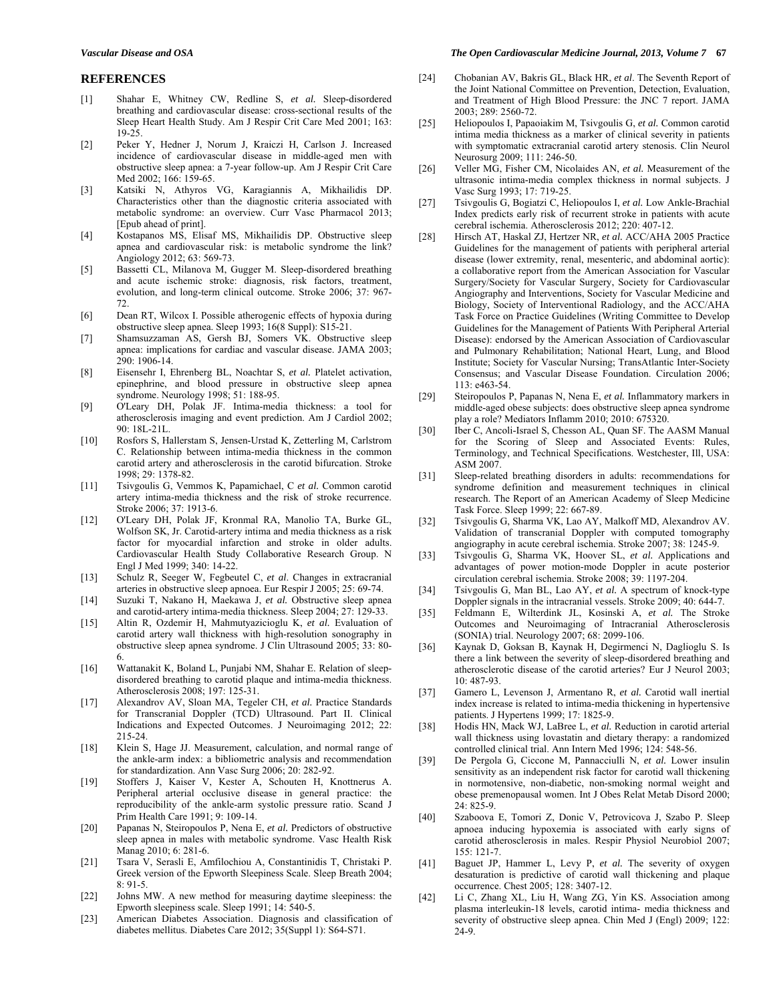# **REFERENCES**

- [1] Shahar E, Whitney CW, Redline S, *et al.* Sleep-disordered breathing and cardiovascular disease: cross-sectional results of the Sleep Heart Health Study. Am J Respir Crit Care Med 2001; 163: 19-25.
- [2] Peker Y, Hedner J, Norum J, Kraiczi H, Carlson J. Increased incidence of cardiovascular disease in middle-aged men with obstructive sleep apnea: a 7-year follow-up. Am J Respir Crit Care Med 2002; 166: 159-65.
- [3] Katsiki N, Athyros VG, Karagiannis A, Mikhailidis DP. Characteristics other than the diagnostic criteria associated with metabolic syndrome: an overview. Curr Vasc Pharmacol 2013; [Epub ahead of print].
- [4] Kostapanos MS, Elisaf MS, Mikhailidis DP. Obstructive sleep apnea and cardiovascular risk: is metabolic syndrome the link? Angiology 2012; 63: 569-73.
- [5] Bassetti CL, Milanova M, Gugger M. Sleep-disordered breathing and acute ischemic stroke: diagnosis, risk factors, treatment, evolution, and long-term clinical outcome. Stroke 2006; 37: 967- 72.
- [6] Dean RT, Wilcox I. Possible atherogenic effects of hypoxia during obstructive sleep apnea. Sleep 1993; 16(8 Suppl): S15-21.
- [7] Shamsuzzaman AS, Gersh BJ, Somers VK. Obstructive sleep apnea: implications for cardiac and vascular disease. JAMA 2003; 290: 1906-14.
- [8] Eisensehr I, Ehrenberg BL, Noachtar S, *et al.* Platelet activation, epinephrine, and blood pressure in obstructive sleep apnea syndrome. Neurology 1998; 51: 188-95.
- [9] O'Leary DH, Polak JF. Intima-media thickness: a tool for atherosclerosis imaging and event prediction. Am J Cardiol 2002; 90: 18L-21L.
- [10] Rosfors S, Hallerstam S, Jensen-Urstad K, Zetterling M, Carlstrom C. Relationship between intima-media thickness in the common carotid artery and atherosclerosis in the carotid bifurcation. Stroke 1998; 29: 1378-82.
- [11] Tsivgoulis G, Vemmos K, Papamichael, C *et al.* Common carotid artery intima-media thickness and the risk of stroke recurrence. Stroke 2006; 37: 1913-6.
- [12] O'Leary DH, Polak JF, Kronmal RA, Manolio TA, Burke GL, Wolfson SK, Jr. Carotid-artery intima and media thickness as a risk factor for myocardial infarction and stroke in older adults. Cardiovascular Health Study Collaborative Research Group. N Engl J Med 1999; 340: 14-22.
- [13] Schulz R, Seeger W, Fegbeutel C, *et al*. Changes in extracranial arteries in obstructive sleep apnoea. Eur Respir J 2005; 25: 69-74.
- [14] Suzuki T, Nakano H, Maekawa J, *et al.* Obstructive sleep apnea and carotid-artery intima-media thickness. Sleep 2004; 27: 129-33.
- [15] Altin R, Ozdemir H, Mahmutyazicioglu K, *et al.* Evaluation of carotid artery wall thickness with high-resolution sonography in obstructive sleep apnea syndrome. J Clin Ultrasound 2005; 33: 80- 6.
- [16] Wattanakit K, Boland L, Punjabi NM, Shahar E. Relation of sleepdisordered breathing to carotid plaque and intima-media thickness. Atherosclerosis 2008; 197: 125-31.
- [17] Alexandrov AV, Sloan MA, Tegeler CH, *et al.* Practice Standards for Transcranial Doppler (TCD) Ultrasound. Part II. Clinical Indications and Expected Outcomes. J Neuroimaging 2012; 22: 215-24.
- [18] Klein S, Hage JJ. Measurement, calculation, and normal range of the ankle-arm index: a bibliometric analysis and recommendation for standardization. Ann Vasc Surg 2006; 20: 282-92.
- [19] Stoffers J, Kaiser V, Kester A, Schouten H, Knottnerus A. Peripheral arterial occlusive disease in general practice: the reproducibility of the ankle-arm systolic pressure ratio. Scand J Prim Health Care 1991; 9: 109-14.
- [20] Papanas N, Steiropoulos P, Nena E, *et al.* Predictors of obstructive sleep apnea in males with metabolic syndrome. Vasc Health Risk Manag 2010; 6: 281-6.
- [21] Tsara V, Serasli E, Amfilochiou A, Constantinidis T, Christaki P. Greek version of the Epworth Sleepiness Scale. Sleep Breath 2004; 8: 91-5.
- [22] Johns MW. A new method for measuring daytime sleepiness: the Epworth sleepiness scale. Sleep 1991; 14: 540-5.
- [23] American Diabetes Association. Diagnosis and classification of diabetes mellitus. Diabetes Care 2012; 35(Suppl 1): S64-S71.

#### *Vascular Disease and OSA The Open Cardiovascular Medicine Journal, 2013, Volume 7* **67**

- [24] Chobanian AV, Bakris GL, Black HR, *et al*. The Seventh Report of the Joint National Committee on Prevention, Detection, Evaluation, and Treatment of High Blood Pressure: the JNC 7 report. JAMA 2003; 289: 2560-72.
- [25] Heliopoulos I, Papaoiakim M, Tsivgoulis G, *et al.* Common carotid intima media thickness as a marker of clinical severity in patients with symptomatic extracranial carotid artery stenosis. Clin Neurol Neurosurg 2009; 111: 246-50.
- [26] Veller MG, Fisher CM, Nicolaides AN, *et al.* Measurement of the ultrasonic intima-media complex thickness in normal subjects. J Vasc Surg 1993; 17: 719-25.
- [27] Tsivgoulis G, Bogiatzi C, Heliopoulos I, *et al.* Low Ankle-Brachial Index predicts early risk of recurrent stroke in patients with acute cerebral ischemia. Atherosclerosis 2012; 220: 407-12.
- [28] Hirsch AT, Haskal ZJ, Hertzer NR, *et al.* ACC/AHA 2005 Practice Guidelines for the management of patients with peripheral arterial disease (lower extremity, renal, mesenteric, and abdominal aortic): a collaborative report from the American Association for Vascular Surgery/Society for Vascular Surgery, Society for Cardiovascular Angiography and Interventions, Society for Vascular Medicine and Biology, Society of Interventional Radiology, and the ACC/AHA Task Force on Practice Guidelines (Writing Committee to Develop Guidelines for the Management of Patients With Peripheral Arterial Disease): endorsed by the American Association of Cardiovascular and Pulmonary Rehabilitation; National Heart, Lung, and Blood Institute; Society for Vascular Nursing; TransAtlantic Inter-Society Consensus; and Vascular Disease Foundation. Circulation 2006; 113: e463-54.
- [29] Steiropoulos P, Papanas N, Nena E, *et al.* Inflammatory markers in middle-aged obese subjects: does obstructive sleep apnea syndrome play a role? Mediators Inflamm 2010; 2010: 675320.
- [30] Iber C, Ancoli-Israel S, Chesson AL, Quan SF. The AASM Manual for the Scoring of Sleep and Associated Events: Rules, Terminology, and Technical Specifications. Westchester, Ill, USA: ASM 2007.
- [31] Sleep-related breathing disorders in adults: recommendations for syndrome definition and measurement techniques in clinical research. The Report of an American Academy of Sleep Medicine Task Force. Sleep 1999; 22: 667-89.
- [32] Tsivgoulis G, Sharma VK, Lao AY, Malkoff MD, Alexandrov AV. Validation of transcranial Doppler with computed tomography angiography in acute cerebral ischemia. Stroke 2007; 38: 1245-9.
- [33] Tsivgoulis G, Sharma VK, Hoover SL, *et al.* Applications and advantages of power motion-mode Doppler in acute posterior circulation cerebral ischemia. Stroke 2008; 39: 1197-204.
- [34] Tsivgoulis G, Man BL, Lao AY, *et al.* A spectrum of knock-type Doppler signals in the intracranial vessels. Stroke 2009; 40: 644-7.
- [35] Feldmann E, Wilterdink JL, Kosinski A, *et al.* The Stroke Outcomes and Neuroimaging of Intracranial Atherosclerosis (SONIA) trial. Neurology 2007; 68: 2099-106.
- [36] Kaynak D, Goksan B, Kaynak H, Degirmenci N, Daglioglu S. Is there a link between the severity of sleep-disordered breathing and atherosclerotic disease of the carotid arteries? Eur J Neurol 2003; 10: 487-93.
- [37] Gamero L, Levenson J, Armentano R, *et al.* Carotid wall inertial index increase is related to intima-media thickening in hypertensive patients. J Hypertens 1999; 17: 1825-9.
- [38] Hodis HN, Mack WJ, LaBree L, *et al.* Reduction in carotid arterial wall thickness using lovastatin and dietary therapy: a randomized controlled clinical trial. Ann Intern Med 1996; 124: 548-56.
- [39] De Pergola G, Ciccone M, Pannacciulli N, *et al.* Lower insulin sensitivity as an independent risk factor for carotid wall thickening in normotensive, non-diabetic, non-smoking normal weight and obese premenopausal women. Int J Obes Relat Metab Disord 2000;  $24.825 - 9$
- [40] Szaboova E, Tomori Z, Donic V, Petrovicova J, Szabo P. Sleep apnoea inducing hypoxemia is associated with early signs of carotid atherosclerosis in males. Respir Physiol Neurobiol 2007; 155: 121-7.
- [41] Baguet JP, Hammer L, Levy P, *et al.* The severity of oxygen desaturation is predictive of carotid wall thickening and plaque occurrence. Chest 2005; 128: 3407-12.
- [42] Li C, Zhang XL, Liu H, Wang ZG, Yin KS. Association among plasma interleukin-18 levels, carotid intima- media thickness and severity of obstructive sleep apnea. Chin Med J (Engl) 2009; 122: 24-9.